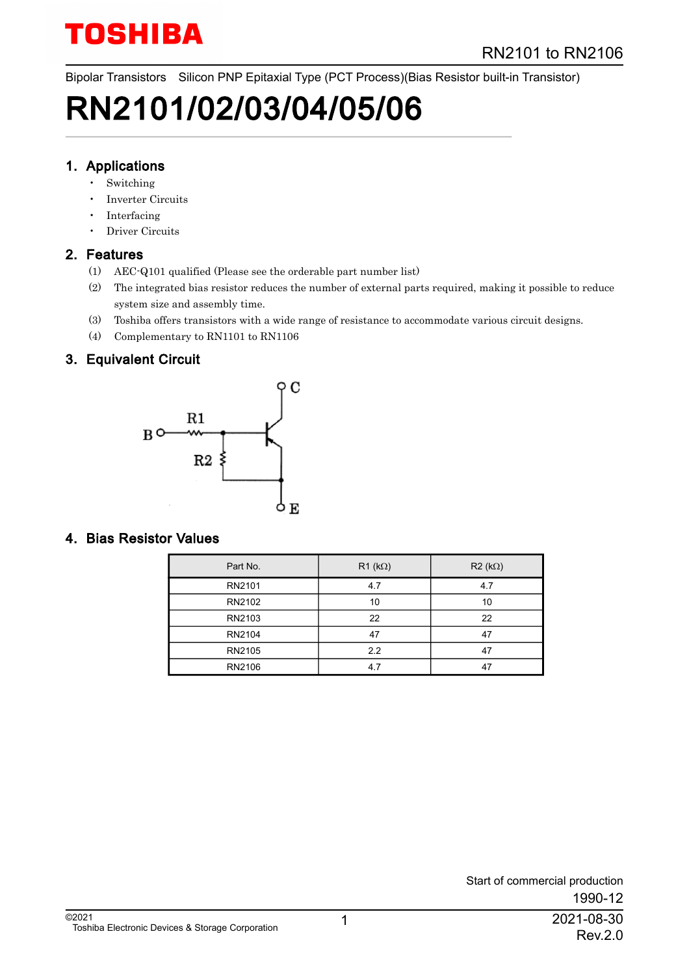Bipolar Transistors Silicon PNP Epitaxial Type (PCT Process)(Bias Resistor built-in Transistor)

# RN2101/02/03/04/05/06

#### 1. Applications

- **Switching**
- Inverter Circuits
- Interfacing
- Driver Circuits

#### 2. Features

- (1) AEC-Q101 qualified (Please see the orderable part number list)
- (2) The integrated bias resistor reduces the number of external parts required, making it possible to reduce system size and assembly time.
- (3) Toshiba offers transistors with a wide range of resistance to accommodate various circuit designs.
- (4) Complementary to RN1101 to RN1106

#### 3. Equivalent Circuit



#### 4. Bias Resistor Values

| Part No. | $R1$ (k $\Omega$ ) | $R2(k\Omega)$ |
|----------|--------------------|---------------|
| RN2101   | 4.7                | 4.7           |
| RN2102   | 10                 | 10            |
| RN2103   | 22                 | 22            |
| RN2104   | 47                 | 47            |
| RN2105   | 2.2                | 47            |
| RN2106   | 4.7                | 47            |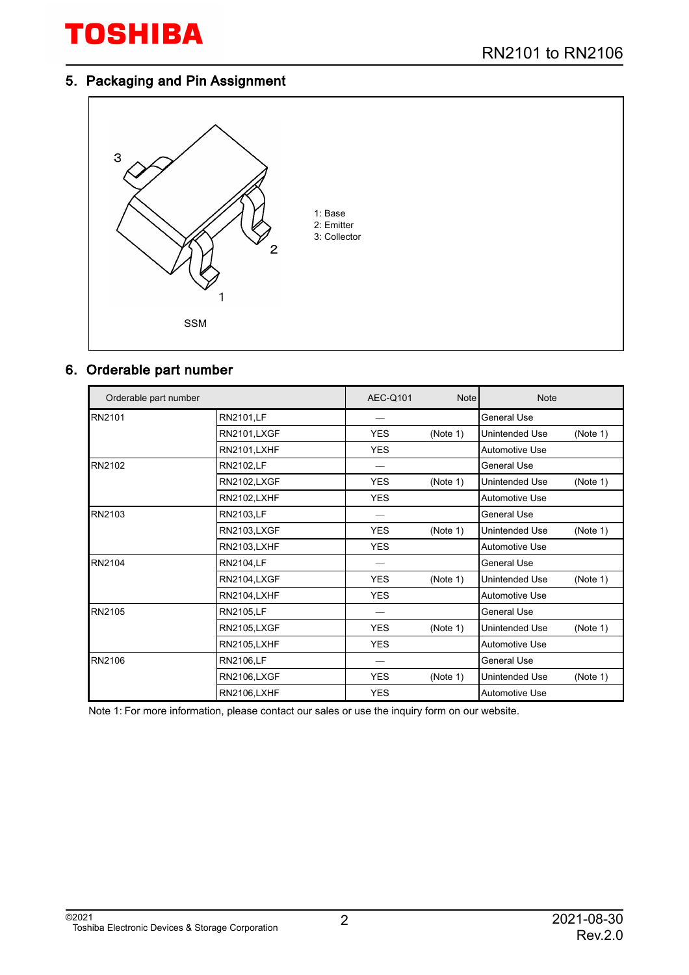#### 5. Packaging and Pin Assignment



### 6. Orderable part number

| Orderable part number |                     | AEC-Q101   | <b>Note</b> | <b>Note</b>                |  |  |
|-----------------------|---------------------|------------|-------------|----------------------------|--|--|
| RN2101                | <b>RN2101,LF</b>    |            |             | <b>General Use</b>         |  |  |
|                       | <b>RN2101,LXGF</b>  | <b>YES</b> | (Note 1)    | (Note 1)<br>Unintended Use |  |  |
|                       | <b>RN2101, LXHF</b> | <b>YES</b> |             | <b>Automotive Use</b>      |  |  |
| RN2102                | <b>RN2102,LF</b>    |            |             | General Use                |  |  |
|                       | <b>RN2102,LXGF</b>  | <b>YES</b> | (Note 1)    | Unintended Use<br>(Note 1) |  |  |
|                       | <b>RN2102,LXHF</b>  | <b>YES</b> |             | Automotive Use             |  |  |
| RN2103                | RN2103,LF           |            |             | <b>General Use</b>         |  |  |
|                       | <b>RN2103,LXGF</b>  | <b>YES</b> | (Note 1)    | (Note 1)<br>Unintended Use |  |  |
|                       | <b>RN2103,LXHF</b>  | <b>YES</b> |             | Automotive Use             |  |  |
| RN2104                | <b>RN2104,LF</b>    |            |             | <b>General Use</b>         |  |  |
|                       | <b>RN2104,LXGF</b>  | <b>YES</b> | (Note 1)    | Unintended Use<br>(Note 1) |  |  |
|                       | <b>RN2104,LXHF</b>  | <b>YES</b> |             | <b>Automotive Use</b>      |  |  |
| RN2105                | <b>RN2105,LF</b>    |            |             | General Use                |  |  |
|                       | <b>RN2105,LXGF</b>  | <b>YES</b> | (Note 1)    | (Note 1)<br>Unintended Use |  |  |
|                       | <b>RN2105,LXHF</b>  | <b>YES</b> |             | Automotive Use             |  |  |
| RN2106                | <b>RN2106,LF</b>    |            |             | <b>General Use</b>         |  |  |
|                       | <b>RN2106,LXGF</b>  | <b>YES</b> | (Note 1)    | Unintended Use<br>(Note 1) |  |  |
|                       | <b>RN2106,LXHF</b>  | <b>YES</b> |             | <b>Automotive Use</b>      |  |  |

Note 1: For more information, please contact our sales or use the inquiry form on our website.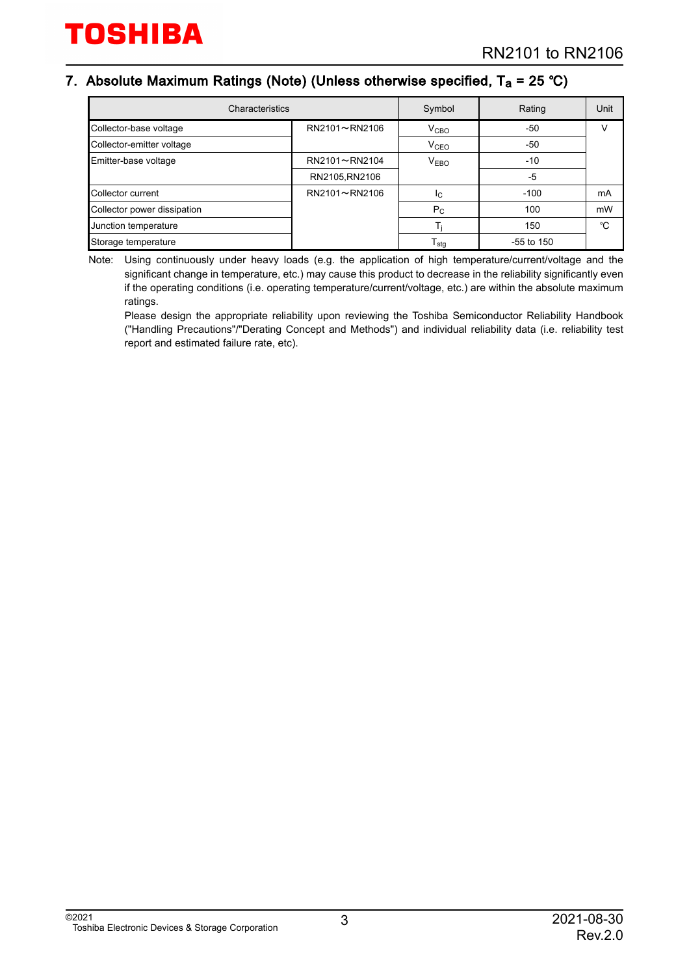#### 7. Absolute Maximum Ratings (Note) (Unless otherwise specified, T<sub>a</sub> = 25 °C)

| Characteristics             | Symbol         | Rating                 | Unit         |    |
|-----------------------------|----------------|------------------------|--------------|----|
| Collector-base voltage      | RN2101~RN2106  | V <sub>CBO</sub>       | $-50$        |    |
| Collector-emitter voltage   |                | <b>V<sub>CEO</sub></b> | $-50$        |    |
| Emitter-base voltage        | RN2101~RN2104  | V <sub>EBO</sub>       | $-10$        |    |
|                             | RN2105, RN2106 |                        | -5           |    |
| Collector current           | RN2101~RN2106  | IC.                    | $-100$       | mA |
| Collector power dissipation |                | $P_{C}$                | 100          | mW |
| Junction temperature        |                |                        | 150          | °C |
| Storage temperature         |                | l <sub>stg</sub>       | $-55$ to 150 |    |

Note: Using continuously under heavy loads (e.g. the application of high temperature/current/voltage and the significant change in temperature, etc.) may cause this product to decrease in the reliability significantly even if the operating conditions (i.e. operating temperature/current/voltage, etc.) are within the absolute maximum ratings.

Please design the appropriate reliability upon reviewing the Toshiba Semiconductor Reliability Handbook ("Handling Precautions"/"Derating Concept and Methods") and individual reliability data (i.e. reliability test report and estimated failure rate, etc).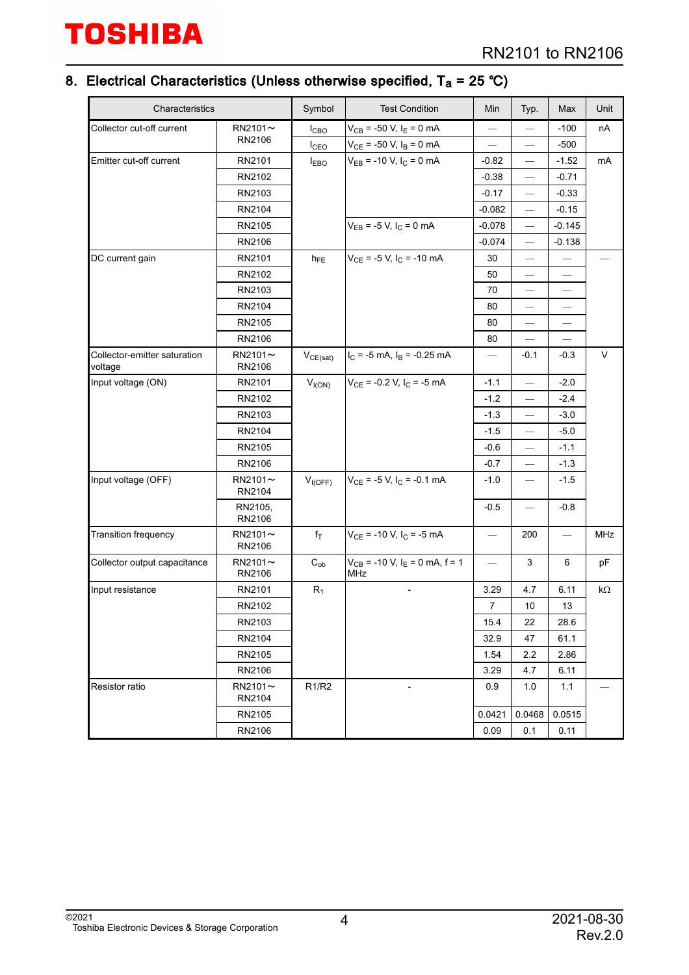#### 8. Electrical Characteristics (Unless otherwise specified, T<sub>a</sub> = 25 ℃)

| Characteristics                            |                         | Symbol                         | <b>Test Condition</b>                                        | Min                               | Typ.                          | Max                      | Unit |
|--------------------------------------------|-------------------------|--------------------------------|--------------------------------------------------------------|-----------------------------------|-------------------------------|--------------------------|------|
| Collector cut-off current<br>$RN2101 \sim$ |                         | $I_{CBO}$                      | $V_{CB}$ = -50 V, $I_E$ = 0 mA                               |                                   |                               | $-100$                   | nA   |
|                                            | RN2106                  | $I_{\text{CEO}}$               | $V_{CE}$ = -50 V, $I_B$ = 0 mA                               | $\overbrace{\phantom{123221111}}$ |                               | $-500$                   |      |
| Emitter cut-off current                    | RN2101                  | <b>IEBO</b>                    | $V_{EB}$ = -10 V, $I_C$ = 0 mA                               | $-0.82$                           | $\overline{\phantom{0}}$      | $-1.52$                  | mA   |
|                                            | RN2102                  |                                |                                                              | $-0.38$                           |                               | $-0.71$                  |      |
|                                            | RN2103                  |                                |                                                              | $-0.17$                           | $\overline{\phantom{0}}$      | $-0.33$                  |      |
|                                            | RN2104                  |                                |                                                              | $-0.082$                          | $\overline{\phantom{0}}$      | $-0.15$                  |      |
|                                            | RN2105                  |                                | $V_{EB}$ = -5 V, $I_C$ = 0 mA                                | $-0.078$                          |                               | $-0.145$                 |      |
|                                            | RN2106                  |                                |                                                              | $-0.074$                          | $\overline{\phantom{0}}$      | $-0.138$                 |      |
| DC current gain                            | RN2101                  | $h_{FE}$                       | $V_{CE}$ = -5 V, $I_C$ = -10 mA                              | 30                                | $\overline{\phantom{0}}$      |                          |      |
|                                            | RN2102                  |                                |                                                              | 50                                |                               |                          |      |
|                                            | RN2103                  |                                |                                                              | 70                                | $\overline{\phantom{0}}$      | $\overline{\phantom{0}}$ |      |
|                                            | RN2104                  |                                |                                                              | 80                                | $\overline{\phantom{0}}$      |                          |      |
|                                            | RN2105                  |                                |                                                              | 80                                |                               |                          |      |
|                                            | RN2106                  |                                |                                                              | 80                                | $\overbrace{\phantom{12333}}$ |                          |      |
| Collector-emitter saturation<br>voltage    | $RN2101 \sim$<br>RN2106 | $V_{CE(sat)}$                  | $I_C$ = -5 mA, $I_B$ = -0.25 mA                              |                                   | $-0.1$                        | $-0.3$                   | V    |
| Input voltage (ON)                         | RN2101                  | $V_{I(ON)}$                    | $V_{CE}$ = -0.2 V, $I_C$ = -5 mA                             | $-1.1$                            |                               | $-2.0$                   |      |
|                                            | RN2102                  |                                |                                                              | $-1.2$                            |                               | $-2.4$                   |      |
|                                            | RN2103                  |                                |                                                              | $-1.3$                            | $\qquad \qquad -$             | $-3.0$                   |      |
|                                            | RN2104                  |                                |                                                              | $-1.5$                            | $\overline{\phantom{0}}$      | $-5.0$                   |      |
|                                            | RN2105                  |                                |                                                              | $-0.6$                            |                               | $-1.1$                   |      |
|                                            | RN2106                  |                                |                                                              | $-0.7$                            |                               | $-1.3$                   |      |
| Input voltage (OFF)                        | $RN2101 \sim$<br>RN2104 | $V_{I(OFF)}$                   | $V_{CE}$ = -5 V, I <sub>C</sub> = -0.1 mA                    | $-1.0$                            |                               | $-1.5$                   |      |
|                                            | RN2105,<br>RN2106       |                                |                                                              | $-0.5$                            | $\qquad \qquad -$             | $-0.8$                   |      |
| Transition frequency                       | $RN2101 \sim$<br>RN2106 | $f_T$                          | $V_{CE}$ = -10 V, $I_C$ = -5 mA                              | $\overline{\phantom{m}}$          | 200                           | $\overline{\phantom{m}}$ | MHz  |
| Collector output capacitance               | $RN2101 \sim$<br>RN2106 | $C_{ob}$                       | $V_{CB}$ = -10 V, I <sub>E</sub> = 0 mA, f = 1<br><b>MHz</b> |                                   | 3                             | 6                        | pF   |
| Input resistance                           | RN2101                  | $\mathsf{R}_1$                 |                                                              | 3.29                              | 4.7                           | 6.11                     | kΩ   |
|                                            | RN2102                  |                                |                                                              | $\overline{7}$                    | 10                            | 13                       |      |
|                                            | RN2103                  |                                |                                                              | 15.4                              | 22                            | 28.6                     |      |
|                                            | RN2104                  |                                |                                                              | 32.9                              | 47                            | 61.1                     |      |
|                                            | RN2105                  |                                |                                                              | 1.54                              | 2.2                           | 2.86                     |      |
|                                            | RN2106                  |                                |                                                              | 3.29                              | 4.7                           | 6.11                     |      |
| Resistor ratio                             | $RN2101 \sim$<br>RN2104 | R <sub>1</sub> /R <sub>2</sub> |                                                              | 0.9                               | 1.0                           | 1.1                      |      |
|                                            | RN2105                  |                                |                                                              | 0.0421                            | 0.0468                        | 0.0515                   |      |
|                                            | RN2106                  |                                |                                                              | 0.09                              | 0.1                           | 0.11                     |      |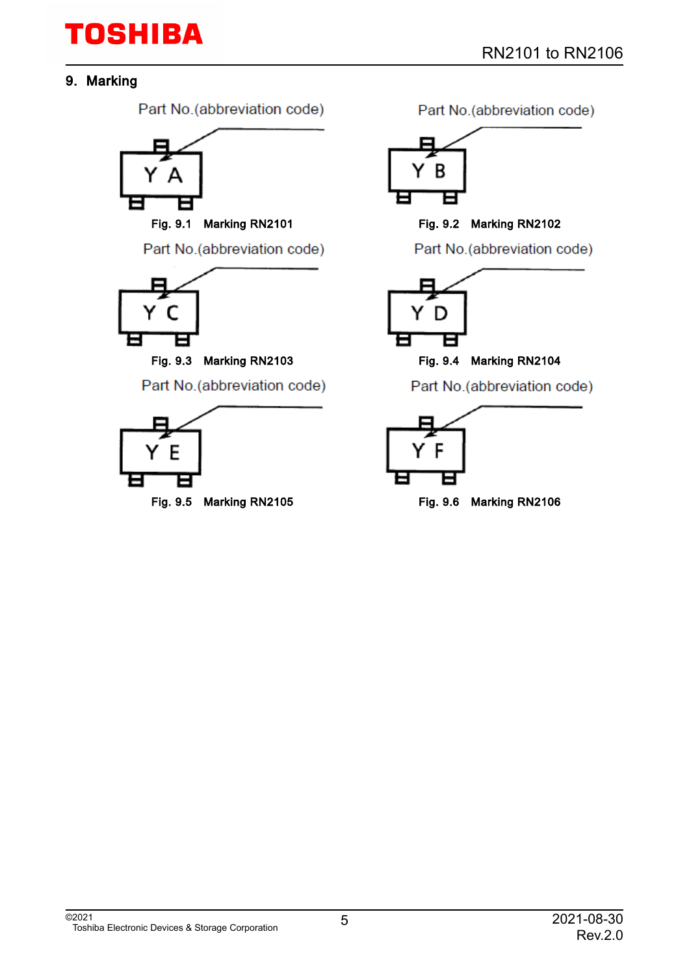#### 9. Marking

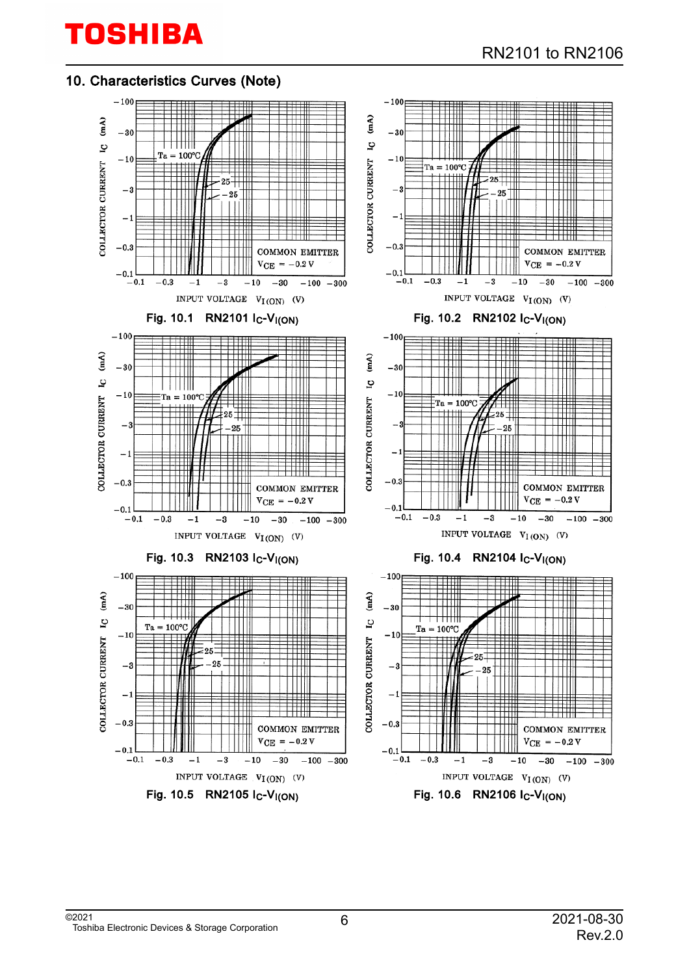#### 10. Characteristics Curves (Note)

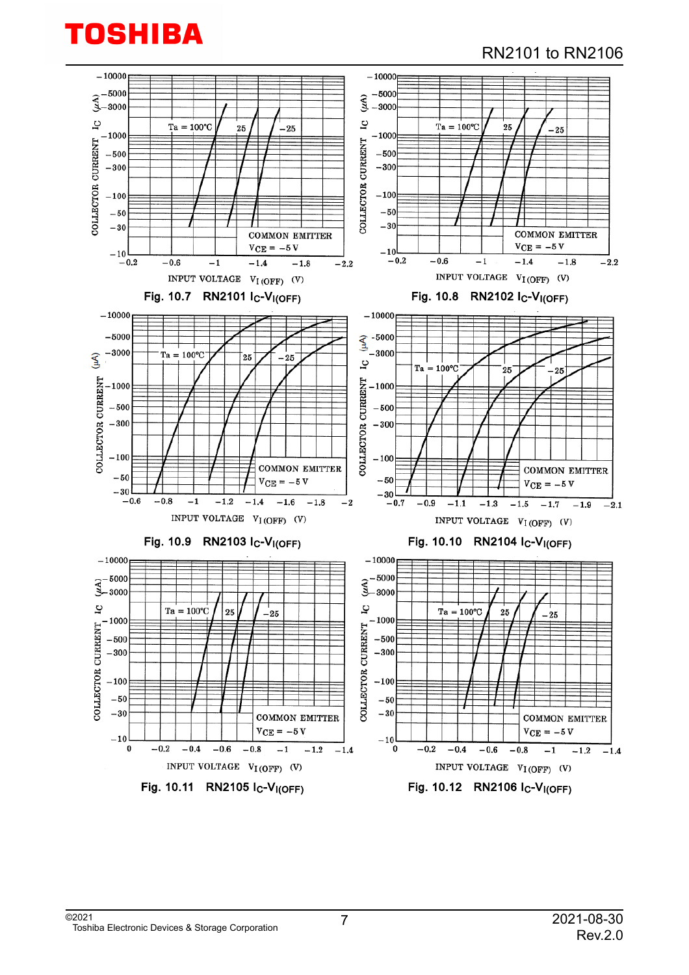### RN2101 to RN2106

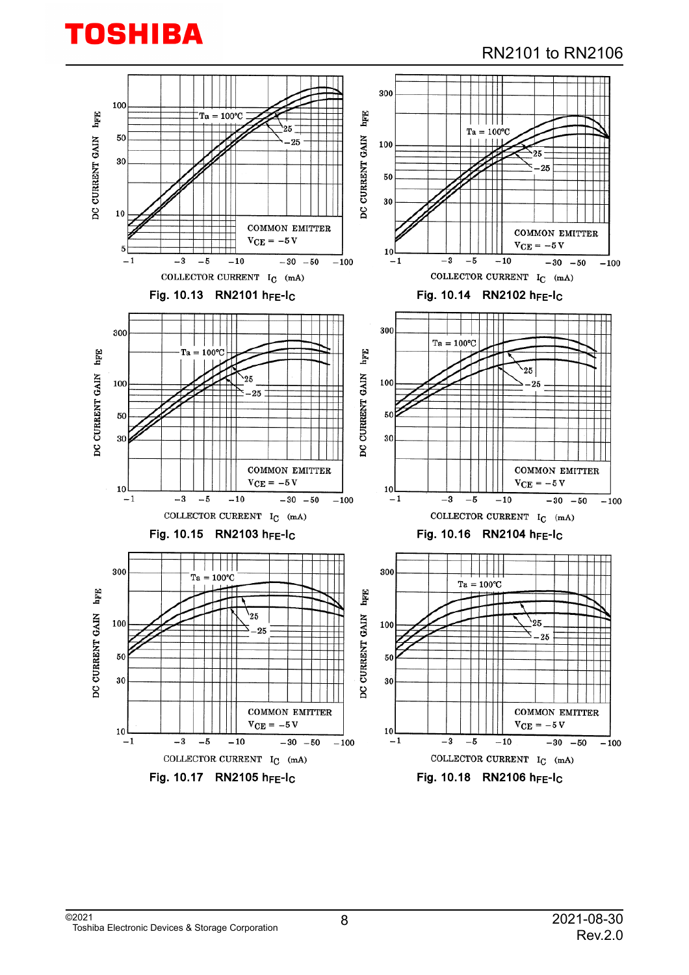

#### RN2101 to RN2106

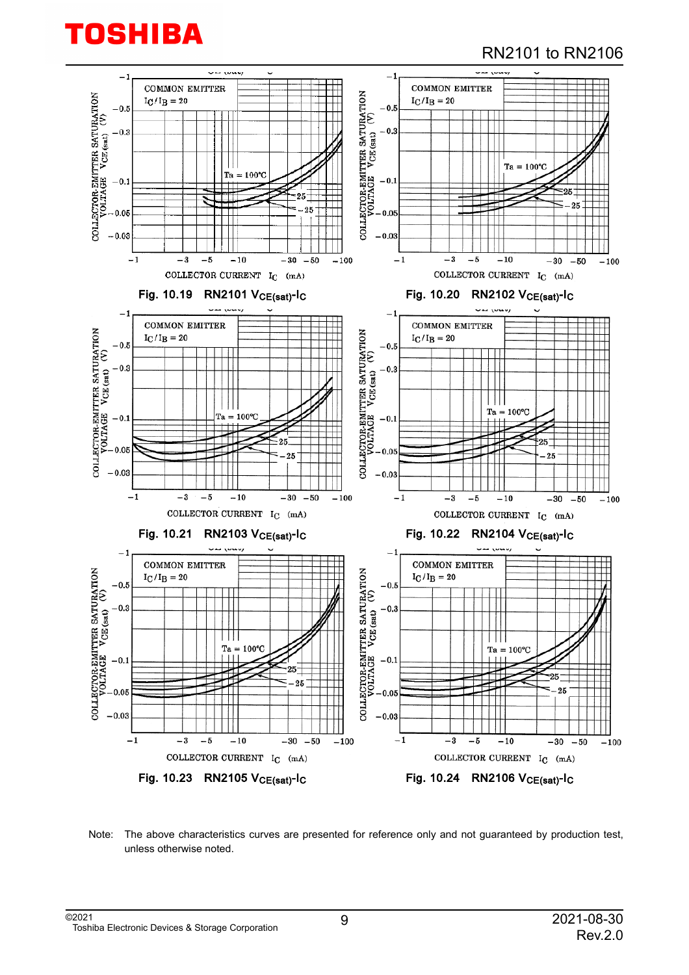#### RN2101 to RN2106



Note: The above characteristics curves are presented for reference only and not guaranteed by production test, unless otherwise noted.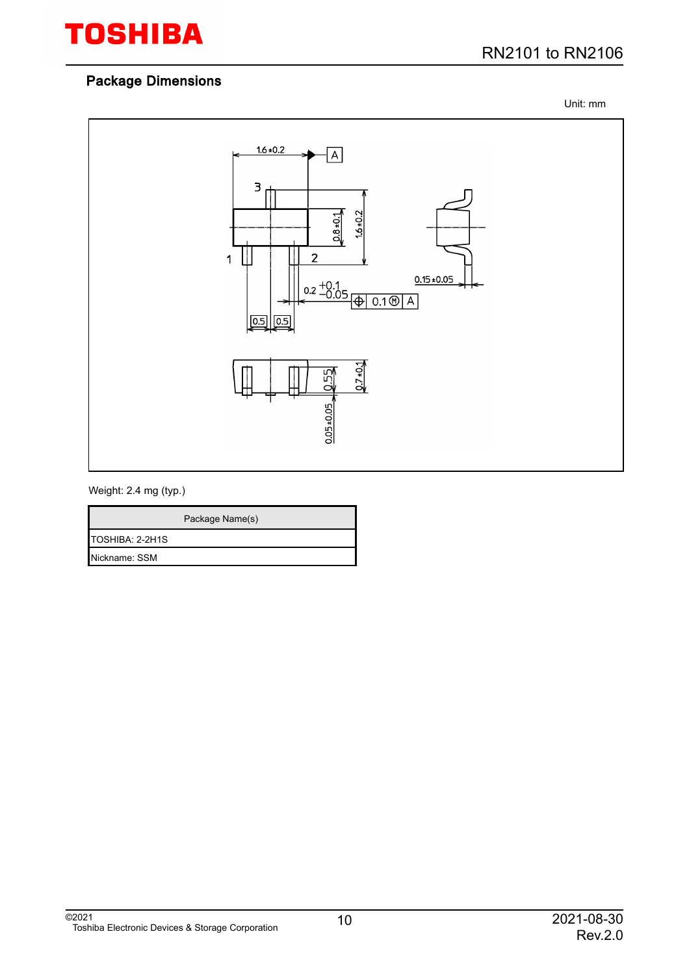

Unit: mm



#### Weight: 2.4 mg (typ.)

|                 | Package Name(s) |
|-----------------|-----------------|
| TOSHIBA: 2-2H1S |                 |
| Nickname: SSM   |                 |